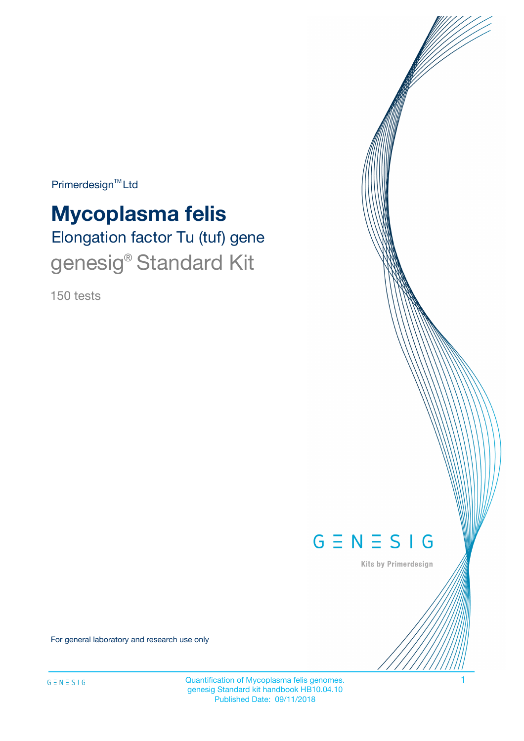Primerdesign<sup>™</sup>Ltd

# **Mycoplasma felis**

Elongation factor Tu (tuf) gene genesig® Standard Kit

150 tests



Kits by Primerdesign

For general laboratory and research use only

Quantification of Mycoplasma felis genomes. 1 genesig Standard kit handbook HB10.04.10 Published Date: 09/11/2018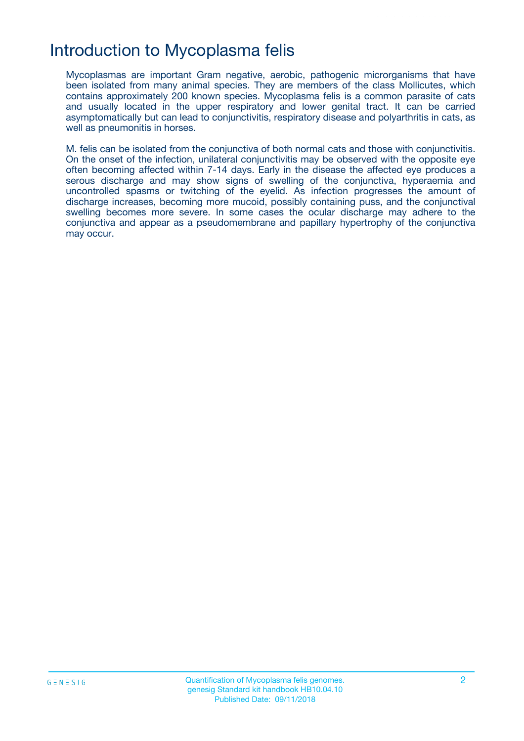## Introduction to Mycoplasma felis

Mycoplasmas are important Gram negative, aerobic, pathogenic microrganisms that have been isolated from many animal species. They are members of the class Mollicutes, which contains approximately 200 known species. Mycoplasma felis is a common parasite of cats and usually located in the upper respiratory and lower genital tract. It can be carried asymptomatically but can lead to conjunctivitis, respiratory disease and polyarthritis in cats, as well as pneumonitis in horses.

M. felis can be isolated from the conjunctiva of both normal cats and those with conjunctivitis. On the onset of the infection, unilateral conjunctivitis may be observed with the opposite eye often becoming affected within 7-14 days. Early in the disease the affected eye produces a serous discharge and may show signs of swelling of the conjunctiva, hyperaemia and uncontrolled spasms or twitching of the eyelid. As infection progresses the amount of discharge increases, becoming more mucoid, possibly containing puss, and the conjunctival swelling becomes more severe. In some cases the ocular discharge may adhere to the conjunctiva and appear as a pseudomembrane and papillary hypertrophy of the conjunctiva may occur.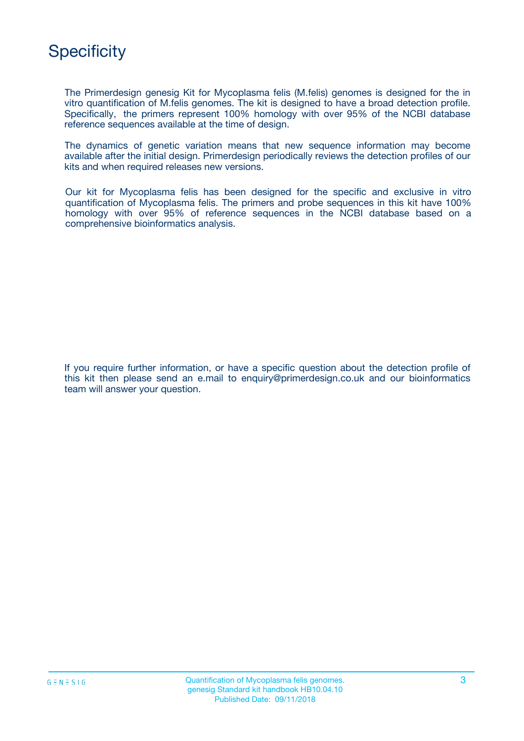# **Specificity**

The Primerdesign genesig Kit for Mycoplasma felis (M.felis) genomes is designed for the in vitro quantification of M.felis genomes. The kit is designed to have a broad detection profile. Specifically, the primers represent 100% homology with over 95% of the NCBI database reference sequences available at the time of design.

The dynamics of genetic variation means that new sequence information may become available after the initial design. Primerdesign periodically reviews the detection profiles of our kits and when required releases new versions.

Our kit for Mycoplasma felis has been designed for the specific and exclusive in vitro quantification of Mycoplasma felis. The primers and probe sequences in this kit have 100% homology with over 95% of reference sequences in the NCBI database based on a comprehensive bioinformatics analysis.

If you require further information, or have a specific question about the detection profile of this kit then please send an e.mail to enquiry@primerdesign.co.uk and our bioinformatics team will answer your question.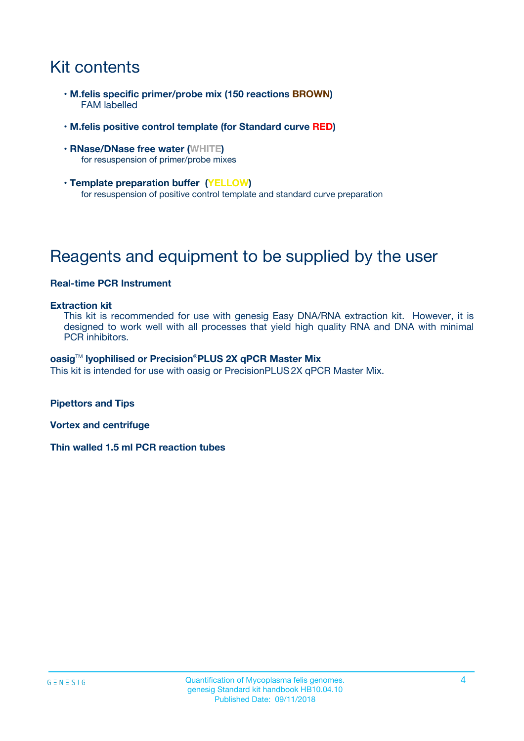# Kit contents

- **M.felis specific primer/probe mix (150 reactions BROWN)** FAM labelled
- **M.felis positive control template (for Standard curve RED)**
- **RNase/DNase free water (WHITE)** for resuspension of primer/probe mixes
- **Template preparation buffer (YELLOW)** for resuspension of positive control template and standard curve preparation

# Reagents and equipment to be supplied by the user

#### **Real-time PCR Instrument**

#### **Extraction kit**

This kit is recommended for use with genesig Easy DNA/RNA extraction kit. However, it is designed to work well with all processes that yield high quality RNA and DNA with minimal PCR inhibitors.

#### **oasig**TM **lyophilised or Precision**®**PLUS 2X qPCR Master Mix**

This kit is intended for use with oasig or PrecisionPLUS2X qPCR Master Mix.

**Pipettors and Tips**

**Vortex and centrifuge**

**Thin walled 1.5 ml PCR reaction tubes**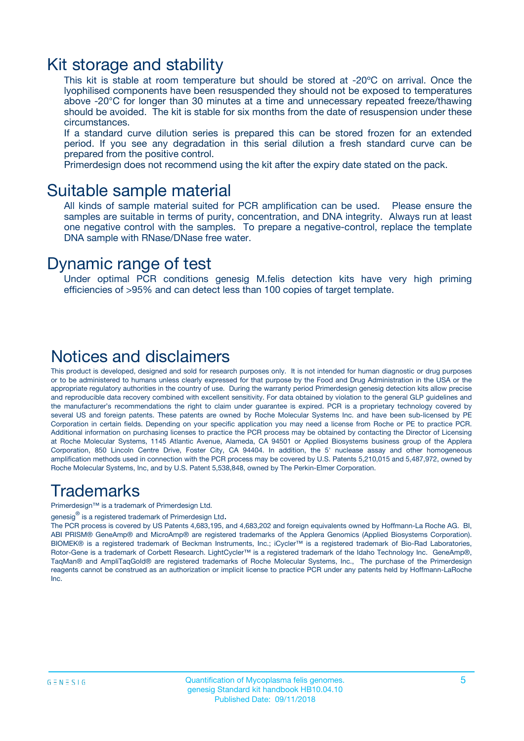### Kit storage and stability

This kit is stable at room temperature but should be stored at -20ºC on arrival. Once the lyophilised components have been resuspended they should not be exposed to temperatures above -20°C for longer than 30 minutes at a time and unnecessary repeated freeze/thawing should be avoided. The kit is stable for six months from the date of resuspension under these circumstances.

If a standard curve dilution series is prepared this can be stored frozen for an extended period. If you see any degradation in this serial dilution a fresh standard curve can be prepared from the positive control.

Primerdesign does not recommend using the kit after the expiry date stated on the pack.

### Suitable sample material

All kinds of sample material suited for PCR amplification can be used. Please ensure the samples are suitable in terms of purity, concentration, and DNA integrity. Always run at least one negative control with the samples. To prepare a negative-control, replace the template DNA sample with RNase/DNase free water.

### Dynamic range of test

Under optimal PCR conditions genesig M.felis detection kits have very high priming efficiencies of >95% and can detect less than 100 copies of target template.

### Notices and disclaimers

This product is developed, designed and sold for research purposes only. It is not intended for human diagnostic or drug purposes or to be administered to humans unless clearly expressed for that purpose by the Food and Drug Administration in the USA or the appropriate regulatory authorities in the country of use. During the warranty period Primerdesign genesig detection kits allow precise and reproducible data recovery combined with excellent sensitivity. For data obtained by violation to the general GLP guidelines and the manufacturer's recommendations the right to claim under guarantee is expired. PCR is a proprietary technology covered by several US and foreign patents. These patents are owned by Roche Molecular Systems Inc. and have been sub-licensed by PE Corporation in certain fields. Depending on your specific application you may need a license from Roche or PE to practice PCR. Additional information on purchasing licenses to practice the PCR process may be obtained by contacting the Director of Licensing at Roche Molecular Systems, 1145 Atlantic Avenue, Alameda, CA 94501 or Applied Biosystems business group of the Applera Corporation, 850 Lincoln Centre Drive, Foster City, CA 94404. In addition, the 5' nuclease assay and other homogeneous amplification methods used in connection with the PCR process may be covered by U.S. Patents 5,210,015 and 5,487,972, owned by Roche Molecular Systems, Inc, and by U.S. Patent 5,538,848, owned by The Perkin-Elmer Corporation.

### Trademarks

Primerdesign™ is a trademark of Primerdesign Ltd.

genesig $^\circledR$  is a registered trademark of Primerdesign Ltd.

The PCR process is covered by US Patents 4,683,195, and 4,683,202 and foreign equivalents owned by Hoffmann-La Roche AG. BI, ABI PRISM® GeneAmp® and MicroAmp® are registered trademarks of the Applera Genomics (Applied Biosystems Corporation). BIOMEK® is a registered trademark of Beckman Instruments, Inc.; iCycler™ is a registered trademark of Bio-Rad Laboratories, Rotor-Gene is a trademark of Corbett Research. LightCycler™ is a registered trademark of the Idaho Technology Inc. GeneAmp®, TaqMan® and AmpliTaqGold® are registered trademarks of Roche Molecular Systems, Inc., The purchase of the Primerdesign reagents cannot be construed as an authorization or implicit license to practice PCR under any patents held by Hoffmann-LaRoche Inc.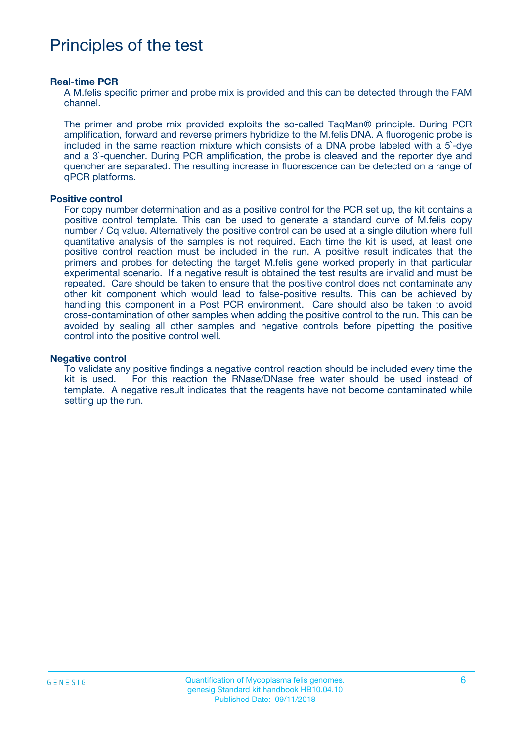# Principles of the test

#### **Real-time PCR**

A M.felis specific primer and probe mix is provided and this can be detected through the FAM channel.

The primer and probe mix provided exploits the so-called TaqMan® principle. During PCR amplification, forward and reverse primers hybridize to the M.felis DNA. A fluorogenic probe is included in the same reaction mixture which consists of a DNA probe labeled with a 5`-dye and a 3`-quencher. During PCR amplification, the probe is cleaved and the reporter dye and quencher are separated. The resulting increase in fluorescence can be detected on a range of qPCR platforms.

#### **Positive control**

For copy number determination and as a positive control for the PCR set up, the kit contains a positive control template. This can be used to generate a standard curve of M.felis copy number / Cq value. Alternatively the positive control can be used at a single dilution where full quantitative analysis of the samples is not required. Each time the kit is used, at least one positive control reaction must be included in the run. A positive result indicates that the primers and probes for detecting the target M.felis gene worked properly in that particular experimental scenario. If a negative result is obtained the test results are invalid and must be repeated. Care should be taken to ensure that the positive control does not contaminate any other kit component which would lead to false-positive results. This can be achieved by handling this component in a Post PCR environment. Care should also be taken to avoid cross-contamination of other samples when adding the positive control to the run. This can be avoided by sealing all other samples and negative controls before pipetting the positive control into the positive control well.

#### **Negative control**

To validate any positive findings a negative control reaction should be included every time the kit is used. For this reaction the RNase/DNase free water should be used instead of template. A negative result indicates that the reagents have not become contaminated while setting up the run.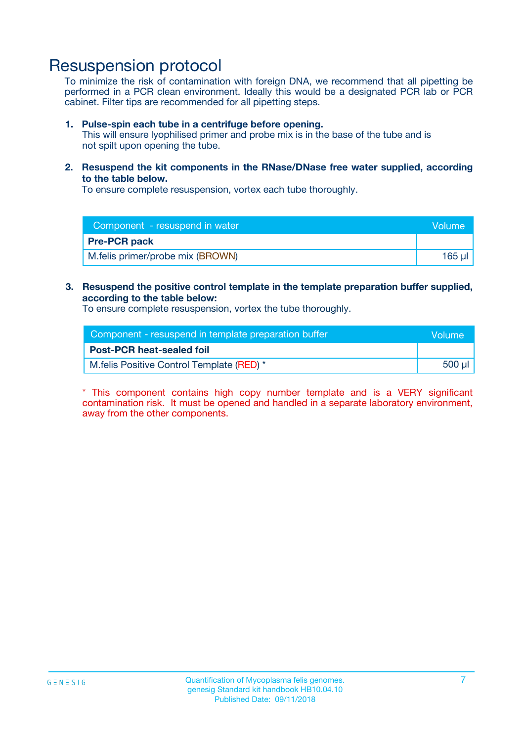### Resuspension protocol

To minimize the risk of contamination with foreign DNA, we recommend that all pipetting be performed in a PCR clean environment. Ideally this would be a designated PCR lab or PCR cabinet. Filter tips are recommended for all pipetting steps.

#### **1. Pulse-spin each tube in a centrifuge before opening.**

This will ensure lyophilised primer and probe mix is in the base of the tube and is not spilt upon opening the tube.

**2. Resuspend the kit components in the RNase/DNase free water supplied, according to the table below.**

To ensure complete resuspension, vortex each tube thoroughly.

| Component - resuspend in water   | <b>Nolume</b> |
|----------------------------------|---------------|
| <b>Pre-PCR pack</b>              |               |
| M.felis primer/probe mix (BROWN) | 165 ul        |

#### **3. Resuspend the positive control template in the template preparation buffer supplied, according to the table below:**

To ensure complete resuspension, vortex the tube thoroughly.

| Component - resuspend in template preparation buffer |        |  |
|------------------------------------------------------|--------|--|
| <b>Post-PCR heat-sealed foil</b>                     |        |  |
| M.felis Positive Control Template (RED) *            | 500 µl |  |

\* This component contains high copy number template and is a VERY significant contamination risk. It must be opened and handled in a separate laboratory environment, away from the other components.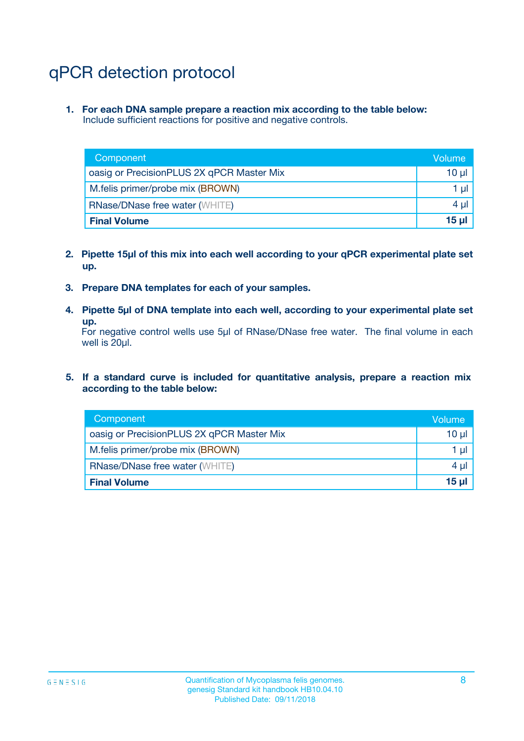# qPCR detection protocol

**1. For each DNA sample prepare a reaction mix according to the table below:** Include sufficient reactions for positive and negative controls.

| Component                                 | Volume           |
|-------------------------------------------|------------------|
| oasig or PrecisionPLUS 2X qPCR Master Mix | 10 $\mu$         |
| M.felis primer/probe mix (BROWN)          | 1 $\mu$          |
| <b>RNase/DNase free water (WHITE)</b>     | $4 \mu$          |
| <b>Final Volume</b>                       | 15 <sub>ul</sub> |

- **2. Pipette 15µl of this mix into each well according to your qPCR experimental plate set up.**
- **3. Prepare DNA templates for each of your samples.**
- **4. Pipette 5µl of DNA template into each well, according to your experimental plate set up.**

For negative control wells use 5µl of RNase/DNase free water. The final volume in each well is 20µl.

**5. If a standard curve is included for quantitative analysis, prepare a reaction mix according to the table below:**

| Component                                 | Volume          |
|-------------------------------------------|-----------------|
| oasig or PrecisionPLUS 2X qPCR Master Mix | 10 µl           |
| M.felis primer/probe mix (BROWN)          | 1 µI            |
| <b>RNase/DNase free water (WHITE)</b>     | $4 \mu$         |
| <b>Final Volume</b>                       | 15 <sub>µ</sub> |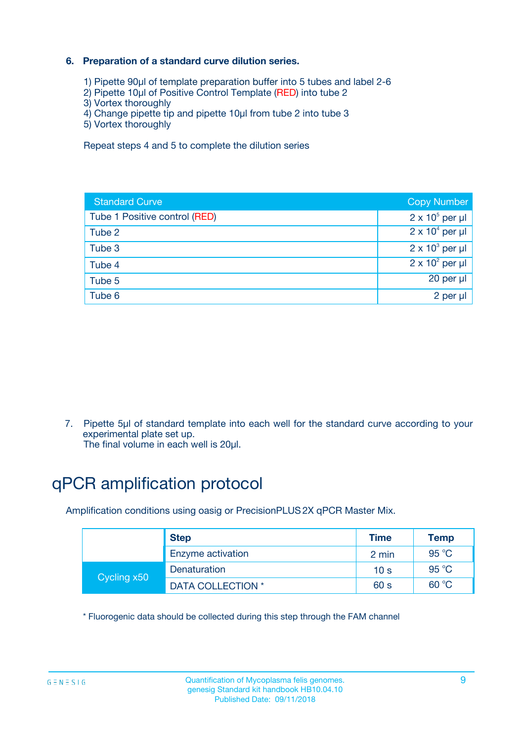### **6. Preparation of a standard curve dilution series.**

- 1) Pipette 90µl of template preparation buffer into 5 tubes and label 2-6
- 2) Pipette 10µl of Positive Control Template (RED) into tube 2
- 3) Vortex thoroughly
- 4) Change pipette tip and pipette 10µl from tube 2 into tube 3
- 5) Vortex thoroughly

Repeat steps 4 and 5 to complete the dilution series

| <b>Standard Curve</b>         | <b>Copy Number</b>     |
|-------------------------------|------------------------|
| Tube 1 Positive control (RED) | $2 \times 10^5$ per µl |
| Tube 2                        | $2 \times 10^4$ per µl |
| Tube 3                        | $2 \times 10^3$ per µl |
| Tube 4                        | $2 \times 10^2$ per µl |
| Tube 5                        | 20 per µl              |
| Tube 6                        | 2 per ul               |

7. Pipette 5µl of standard template into each well for the standard curve according to your experimental plate set up.

The final volume in each well is 20µl.

# qPCR amplification protocol

Amplification conditions using oasig or PrecisionPLUS2X qPCR Master Mix.

|             | <b>Step</b>       | <b>Time</b>     | Temp    |
|-------------|-------------------|-----------------|---------|
|             | Enzyme activation | 2 min           | 95 °C   |
| Cycling x50 | Denaturation      | 10 <sub>s</sub> | 95 $°C$ |
|             | DATA COLLECTION * | 60 s            | 60 °C   |

\* Fluorogenic data should be collected during this step through the FAM channel